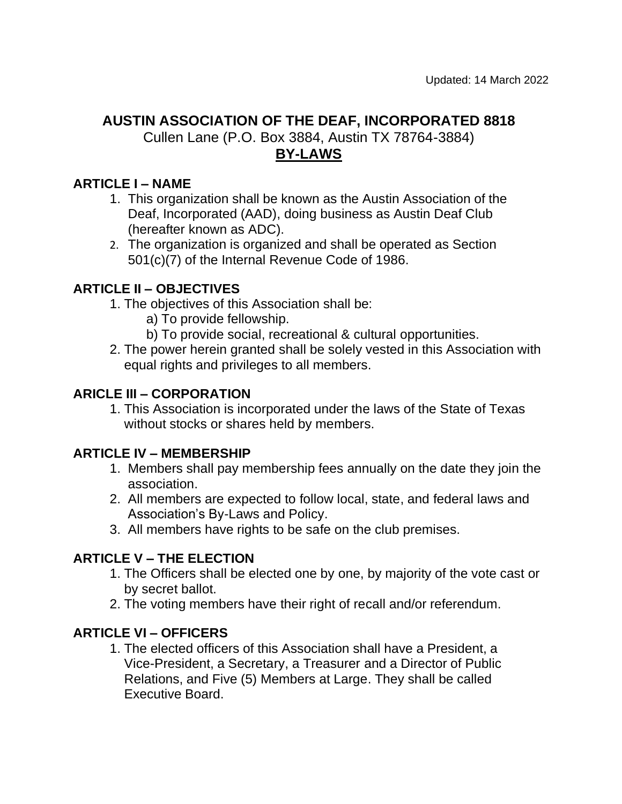# **AUSTIN ASSOCIATION OF THE DEAF, INCORPORATED 8818**

Cullen Lane (P.O. Box 3884, Austin TX 78764-3884) **BY-LAWS**

#### **ARTICLE I – NAME**

- 1. This organization shall be known as the Austin Association of the Deaf, Incorporated (AAD), doing business as Austin Deaf Club (hereafter known as ADC).
- 2. The organization is organized and shall be operated as Section 501(c)(7) of the Internal Revenue Code of 1986.

#### **ARTICLE II – OBJECTIVES**

- 1. The objectives of this Association shall be:
	- a) To provide fellowship.
	- b) To provide social, recreational & cultural opportunities.
- 2. The power herein granted shall be solely vested in this Association with equal rights and privileges to all members.

#### **ARICLE III – CORPORATION**

1. This Association is incorporated under the laws of the State of Texas without stocks or shares held by members.

#### **ARTICLE IV – MEMBERSHIP**

- 1. Members shall pay membership fees annually on the date they join the association.
- 2. All members are expected to follow local, state, and federal laws and Association's By-Laws and Policy.
- 3. All members have rights to be safe on the club premises.

#### **ARTICLE V – THE ELECTION**

- 1. The Officers shall be elected one by one, by majority of the vote cast or by secret ballot.
- 2. The voting members have their right of recall and/or referendum.

#### **ARTICLE VI – OFFICERS**

1. The elected officers of this Association shall have a President, a Vice-President, a Secretary, a Treasurer and a Director of Public Relations, and Five (5) Members at Large. They shall be called Executive Board.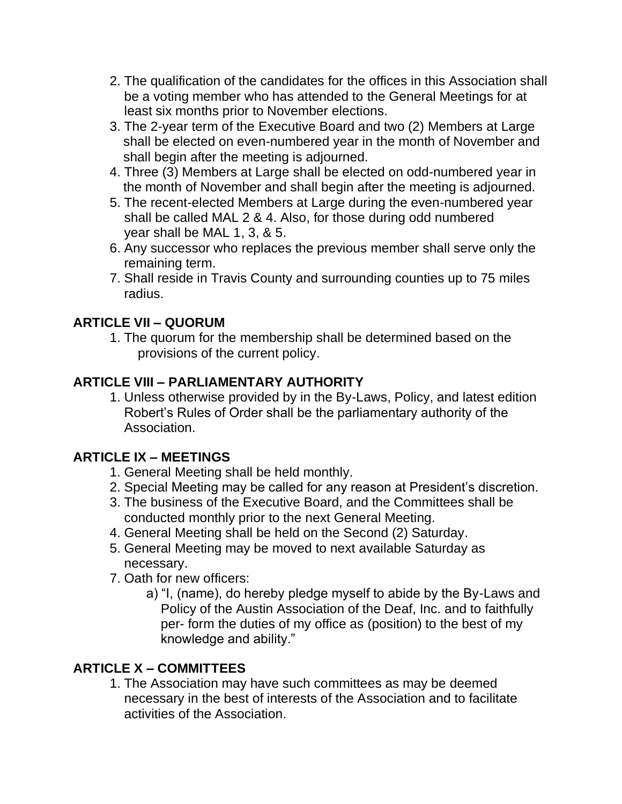- 2. The qualification of the candidates for the offices in this Association shall be a voting member who has attended to the General Meetings for at least six months prior to November elections.
- 3. The 2-year term of the Executive Board and two (2) Members at Large shall be elected on even-numbered year in the month of November and shall begin after the meeting is adjourned.
- 4. Three (3) Members at Large shall be elected on odd-numbered year in the month of November and shall begin after the meeting is adjourned.
- 5. The recent-elected Members at Large during the even-numbered year shall be called MAL 2 & 4. Also, for those during odd numbered year shall be MAL 1, 3, & 5.
- 6. Any successor who replaces the previous member shall serve only the remaining term.
- 7. Shall reside in Travis County and surrounding counties up to 75 miles radius.

## **ARTICLE VII – QUORUM**

1. The quorum for the membership shall be determined based on the provisions of the current policy.

## **ARTICLE VIII – PARLIAMENTARY AUTHORITY**

1. Unless otherwise provided by in the By-Laws, Policy, and latest edition Robert's Rules of Order shall be the parliamentary authority of the Association.

### **ARTICLE IX – MEETINGS**

- 1. General Meeting shall be held monthly.
- 2. Special Meeting may be called for any reason at President's discretion.
- 3. The business of the Executive Board, and the Committees shall be conducted monthly prior to the next General Meeting.
- 4. General Meeting shall be held on the Second (2) Saturday.
- 5. General Meeting may be moved to next available Saturday as necessary.
- 7. Oath for new officers:
	- a) "I, (name), do hereby pledge myself to abide by the By-Laws and Policy of the Austin Association of the Deaf, Inc. and to faithfully per- form the duties of my office as (position) to the best of my knowledge and ability."

## **ARTICLE X – COMMITTEES**

1. The Association may have such committees as may be deemed necessary in the best of interests of the Association and to facilitate activities of the Association.